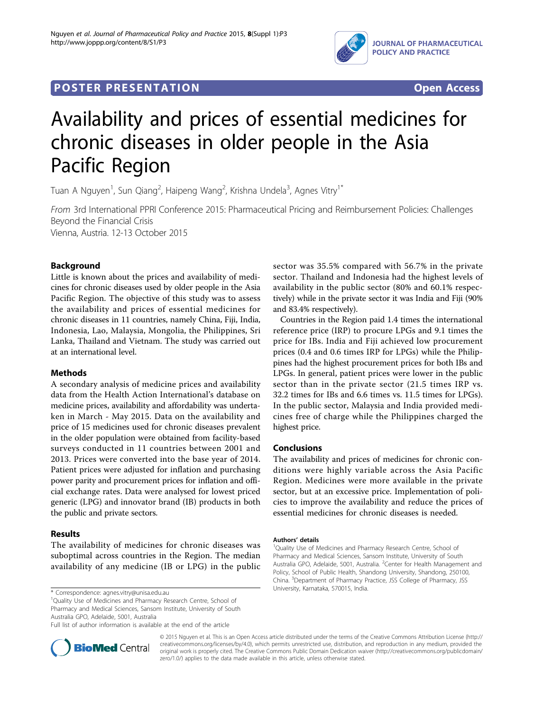

## **POSTER PRESENTATION CONSUMING ACCESS**



# Availability and prices of essential medicines for chronic diseases in older people in the Asia Pacific Region

Tuan A Nguyen<sup>1</sup>, Sun Qiang<sup>2</sup>, Haipeng Wang<sup>2</sup>, Krishna Undela<sup>3</sup>, Agnes Vitry<sup>1\*</sup>

From 3rd International PPRI Conference 2015: Pharmaceutical Pricing and Reimbursement Policies: Challenges Beyond the Financial Crisis Vienna, Austria. 12-13 October 2015

Background

Little is known about the prices and availability of medicines for chronic diseases used by older people in the Asia Pacific Region. The objective of this study was to assess the availability and prices of essential medicines for chronic diseases in 11 countries, namely China, Fiji, India, Indonesia, Lao, Malaysia, Mongolia, the Philippines, Sri Lanka, Thailand and Vietnam. The study was carried out at an international level.

#### Methods

A secondary analysis of medicine prices and availability data from the Health Action International's database on medicine prices, availability and affordability was undertaken in March - May 2015. Data on the availability and price of 15 medicines used for chronic diseases prevalent in the older population were obtained from facility-based surveys conducted in 11 countries between 2001 and 2013. Prices were converted into the base year of 2014. Patient prices were adjusted for inflation and purchasing power parity and procurement prices for inflation and official exchange rates. Data were analysed for lowest priced generic (LPG) and innovator brand (IB) products in both the public and private sectors.

### Results

The availability of medicines for chronic diseases was suboptimal across countries in the Region. The median availability of any medicine (IB or LPG) in the public

University, Karnataka, 570015, India. \* Correspondence: [agnes.vitry@unisa.edu.au](mailto:agnes.vitry@unisa.edu.au)

<sup>1</sup>Quality Use of Medicines and Pharmacy Research Centre, School of Pharmacy and Medical Sciences, Sansom Institute, University of South Australia GPO, Adelaide, 5001, Australia

Full list of author information is available at the end of the article



sector was 35.5% compared with 56.7% in the private sector. Thailand and Indonesia had the highest levels of availability in the public sector (80% and 60.1% respectively) while in the private sector it was India and Fiji (90% and 83.4% respectively).

Countries in the Region paid 1.4 times the international reference price (IRP) to procure LPGs and 9.1 times the price for IBs. India and Fiji achieved low procurement prices (0.4 and 0.6 times IRP for LPGs) while the Philippines had the highest procurement prices for both IBs and LPGs. In general, patient prices were lower in the public sector than in the private sector (21.5 times IRP vs. 32.2 times for IBs and 6.6 times vs. 11.5 times for LPGs). In the public sector, Malaysia and India provided medicines free of charge while the Philippines charged the highest price.

#### Conclusions

The availability and prices of medicines for chronic conditions were highly variable across the Asia Pacific Region. Medicines were more available in the private sector, but at an excessive price. Implementation of policies to improve the availability and reduce the prices of essential medicines for chronic diseases is needed.

#### Authors' details <sup>1</sup>

<sup>1</sup>Quality Use of Medicines and Pharmacy Research Centre, School of Pharmacy and Medical Sciences, Sansom Institute, University of South Australia GPO, Adelaide, 5001, Australia. <sup>2</sup>Center for Health Management and Policy, School of Public Health, Shandong University, Shandong, 250100, China. <sup>3</sup>Department of Pharmacy Practice, JSS College of Pharmacy, JSS

© 2015 Nguyen et al. This is an Open Access article distributed under the terms of the Creative Commons Attribution License [\(http://](http://creativecommons.org/licenses/by/4.0) [creativecommons.org/licenses/by/4.0](http://creativecommons.org/licenses/by/4.0)), which permits unrestricted use, distribution, and reproduction in any medium, provided the original work is properly cited. The Creative Commons Public Domain Dedication waiver ([http://creativecommons.org/publicdomain/](http://creativecommons.org/publicdomain/zero/1.0/) [zero/1.0/](http://creativecommons.org/publicdomain/zero/1.0/)) applies to the data made available in this article, unless otherwise stated.